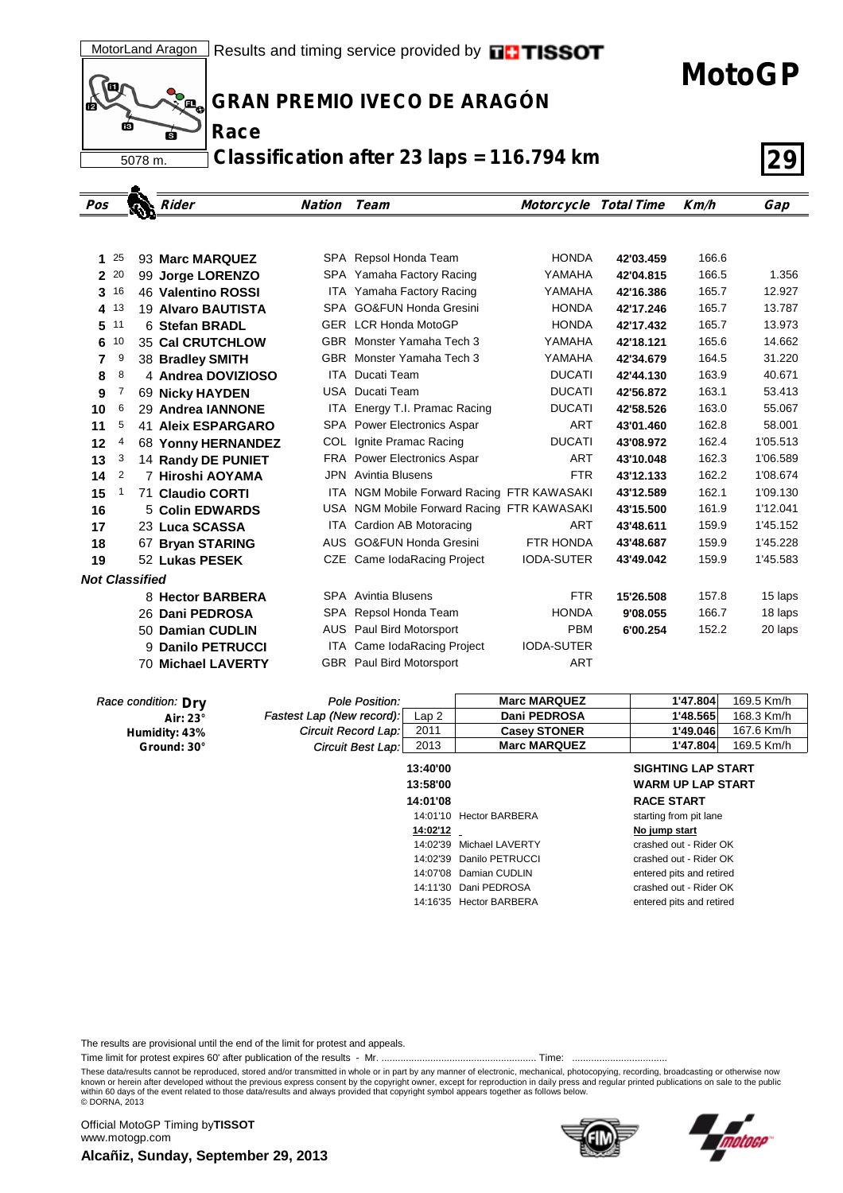(o д. пá **Race** 6

5078 m.

٠

**GRAN PREMIO IVECO DE ARAGÓN**

**Classification after 23 laps = 116.794 km 29**

| Pos                   |      | Rider                     | <b>Nation</b> | Team                                       | <b>Motorcycle Total Time</b> |           | Km/h  | Gap      |
|-----------------------|------|---------------------------|---------------|--------------------------------------------|------------------------------|-----------|-------|----------|
|                       |      |                           |               |                                            |                              |           |       |          |
|                       |      |                           |               |                                            |                              |           |       |          |
| 1                     | 25   | 93 Marc MARQUEZ           |               | SPA Repsol Honda Team                      | <b>HONDA</b>                 | 42'03.459 | 166.6 |          |
|                       | 2 20 | 99 Jorge LORENZO          |               | SPA Yamaha Factory Racing                  | YAMAHA                       | 42'04.815 | 166.5 | 1.356    |
| 3                     | 16   | 46 Valentino ROSSI        |               | ITA Yamaha Factory Racing                  | YAMAHA                       | 42'16.386 | 165.7 | 12.927   |
| 4                     | 13   | 19 Alvaro BAUTISTA        |               | SPA GO&FUN Honda Gresini                   | <b>HONDA</b>                 | 42'17.246 | 165.7 | 13.787   |
| 5                     | 11   | 6 Stefan BRADL            |               | <b>GER LCR Honda MotoGP</b>                | <b>HONDA</b>                 | 42'17.432 | 165.7 | 13.973   |
| 6                     | 10   | <b>35 Cal CRUTCHLOW</b>   |               | GBR Monster Yamaha Tech 3                  | YAMAHA                       | 42'18.121 | 165.6 | 14.662   |
| 7                     | 9    | 38 Bradley SMITH          |               | GBR Monster Yamaha Tech 3                  | YAMAHA                       | 42'34.679 | 164.5 | 31.220   |
| 8                     | 8    | 4 Andrea DOVIZIOSO        | ITA           | Ducati Team                                | <b>DUCATI</b>                | 42'44.130 | 163.9 | 40.671   |
| 9                     | 7    | 69 Nicky HAYDEN           |               | USA Ducati Team                            | <b>DUCATI</b>                | 42'56.872 | 163.1 | 53.413   |
| 10                    | 6    | 29 Andrea IANNONE         | ITA           | Energy T.I. Pramac Racing                  | <b>DUCATI</b>                | 42'58.526 | 163.0 | 55.067   |
| 11                    | 5    | <b>41 Aleix ESPARGARO</b> |               | SPA Power Electronics Aspar                | ART                          | 43'01.460 | 162.8 | 58.001   |
| 12                    | 4    | 68 Yonny HERNANDEZ        | COL.          | Ignite Pramac Racing                       | <b>DUCATI</b>                | 43'08.972 | 162.4 | 1'05.513 |
| 13                    | 3    | 14 Randy DE PUNIET        |               | FRA Power Electronics Aspar                | <b>ART</b>                   | 43'10.048 | 162.3 | 1'06.589 |
| 14                    | 2    | 7 Hiroshi AOYAMA          |               | <b>JPN</b> Avintia Blusens                 | <b>FTR</b>                   | 43'12.133 | 162.2 | 1'08.674 |
| 15                    | 1    | <b>71 Claudio CORTI</b>   |               | ITA NGM Mobile Forward Racing FTR KAWASAKI |                              | 43'12.589 | 162.1 | 1'09.130 |
| 16                    |      | 5 Colin EDWARDS           |               | USA NGM Mobile Forward Racing FTR KAWASAKI |                              | 43'15.500 | 161.9 | 1'12.041 |
| 17                    |      | 23 Luca SCASSA            | ITA           | Cardion AB Motoracing                      | <b>ART</b>                   | 43'48.611 | 159.9 | 1'45.152 |
| 18                    |      | 67 Bryan STARING          |               | AUS GO&FUN Honda Gresini                   | <b>FTR HONDA</b>             | 43'48.687 | 159.9 | 1'45.228 |
| 19                    |      | 52 Lukas PESEK            |               | CZE Came IodaRacing Project                | <b>IODA-SUTER</b>            | 43'49.042 | 159.9 | 1'45.583 |
| <b>Not Classified</b> |      |                           |               |                                            |                              |           |       |          |
|                       |      | 8 Hector BARBERA          |               | <b>SPA</b> Avintia Blusens                 | <b>FTR</b>                   | 15'26.508 | 157.8 | 15 laps  |
|                       |      | 26 Dani PEDROSA           |               | SPA Repsol Honda Team                      | <b>HONDA</b>                 | 9'08.055  | 166.7 | 18 laps  |
|                       |      | 50 Damian CUDLIN          | AUS           | Paul Bird Motorsport                       | <b>PBM</b>                   | 6'00.254  | 152.2 | 20 laps  |
|                       |      | 9 Danilo PETRUCCI         | ITA.          | Came IodaRacing Project                    | <b>IODA-SUTER</b>            |           |       |          |
|                       |      | <b>70 Michael LAVERTY</b> |               | <b>GBR</b> Paul Bird Motorsport            | <b>ART</b>                   |           |       |          |

| Race condition: Dry | <b>Pole Position:</b>     |          | <b>Marc MARQUEZ</b>     | 1'47.804                  | 169.5 Km/h |
|---------------------|---------------------------|----------|-------------------------|---------------------------|------------|
| Air: $23^\circ$     | Fastest Lap (New record): | Lap2     | Dani PEDROSA            | 1'48.565                  | 168.3 Km/h |
| Humidity: 43%       | Circuit Record Lap:       | 2011     | <b>Casey STONER</b>     | 1'49.046                  | 167.6 Km/h |
| Ground: 30°         | Circuit Best Lap:         | 2013     | <b>Marc MARQUEZ</b>     | 1'47.804                  | 169.5 Km/h |
|                     |                           | 13:40'00 |                         | <b>SIGHTING LAP START</b> |            |
|                     |                           | 13:58'00 |                         | <b>WARM UP LAP START</b>  |            |
|                     |                           | 14:01'08 |                         | <b>RACE START</b>         |            |
|                     |                           | 14:01'10 | <b>Hector BARBERA</b>   | starting from pit lane    |            |
|                     |                           | 14:02'12 |                         | No jump start             |            |
|                     |                           | 14:02'39 | Michael LAVERTY         | crashed out - Rider OK    |            |
|                     |                           | 14:02'39 | Danilo PETRUCCI         | crashed out - Rider OK    |            |
|                     |                           | 14:07'08 | Damian CUDLIN           | entered pits and retired  |            |
|                     |                           | 14:11'30 | Dani PEDROSA            | crashed out - Rider OK    |            |
|                     |                           |          | 14:16'35 Hector BARBERA | entered pits and retired  |            |

The results are provisional until the end of the limit for protest and appeals.

Time limit for protest expires 60' after publication of the results - Mr. ......................................................... Time: ...................................

These data/results cannot be reproduced, stored and/or transmitted in whole or in part by any manner of electronic, mechanical, photocopying, recording, broadcasting or otherwise now<br>known or herein after developed without within 60 days of the event related to those data/results and always provided that copyright symbol appears together as follows below. © DORNA, 2013

**Alcañiz, Sunday, September 29, 2013** Official MotoGP Timing by **TISSOT**www.motogp.com





**MotoGP**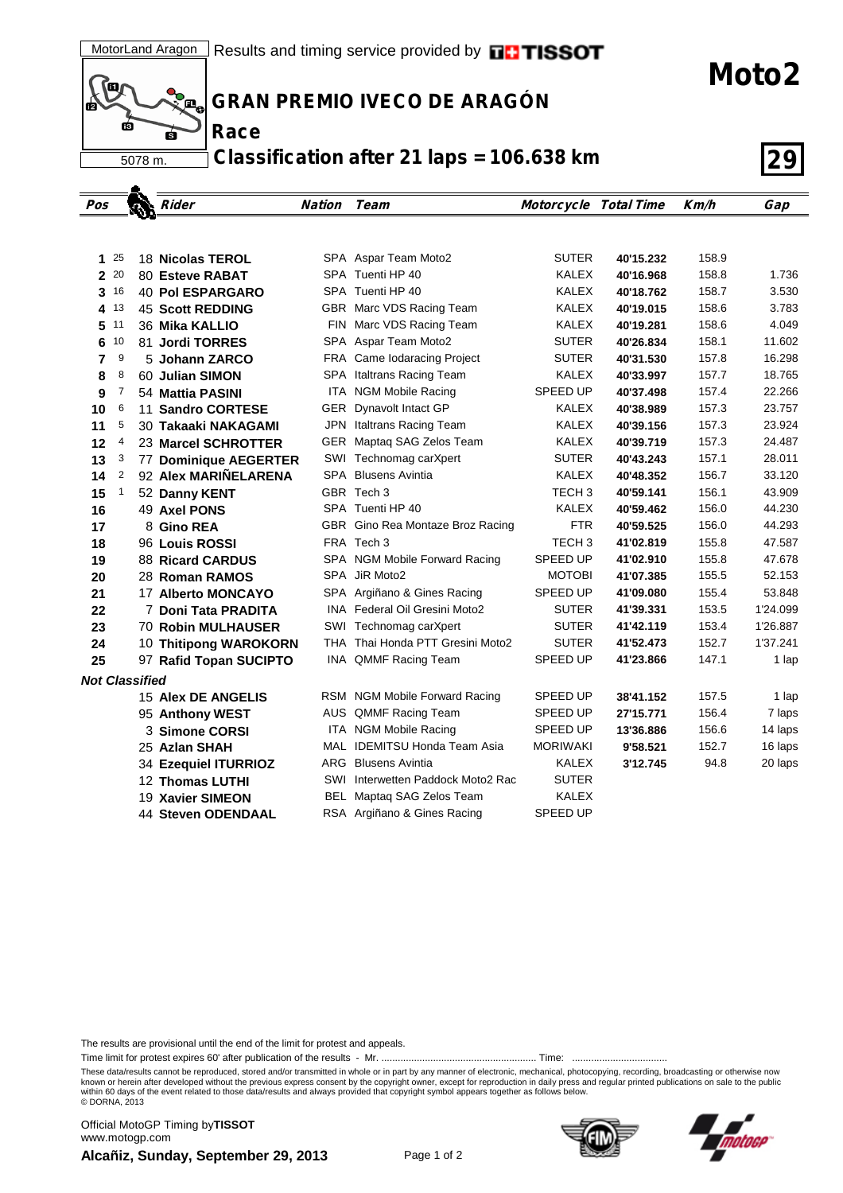(Q )<br>Д<sub>е</sub> ГŔ 5078 m.

**Race**

**GRAN PREMIO IVECO DE ARAGÓN**

**Classification after 21 laps = 106.638 km 29**

| Pos                   |              | Rider                               | <b>Nation</b> | Team                                 | <b>Motorcycle Total Time</b> |           | Km/h  | Gap      |
|-----------------------|--------------|-------------------------------------|---------------|--------------------------------------|------------------------------|-----------|-------|----------|
|                       |              |                                     |               |                                      |                              |           |       |          |
| 1.                    | -25          |                                     |               | SPA Aspar Team Moto2                 | <b>SUTER</b>                 | 40'15.232 | 158.9 |          |
| 2 20                  |              | 18 Nicolas TEROL<br>80 Esteve RABAT |               | SPA Tuenti HP 40                     | <b>KALEX</b>                 | 40'16.968 | 158.8 | 1.736    |
| 3                     | 16           | <b>40 Pol ESPARGARO</b>             |               | SPA Tuenti HP 40                     | KALEX                        | 40'18.762 | 158.7 | 3.530    |
| 4 13                  |              | <b>45 Scott REDDING</b>             |               | GBR Marc VDS Racing Team             | <b>KALEX</b>                 | 40'19.015 | 158.6 | 3.783    |
| 5                     | 11           | 36 Mika KALLIO                      |               | FIN Marc VDS Racing Team             | KALEX                        | 40'19.281 | 158.6 | 4.049    |
| 6                     | 10           | 81 Jordi TORRES                     |               | SPA Aspar Team Moto2                 | SUTER                        | 40'26.834 | 158.1 | 11.602   |
| 7                     | 9            | 5 Johann ZARCO                      |               | FRA Came Iodaracing Project          | <b>SUTER</b>                 | 40'31.530 | 157.8 | 16.298   |
| 8                     | 8            | 60 Julian SIMON                     |               | SPA Italtrans Racing Team            | KALEX                        | 40'33.997 | 157.7 | 18.765   |
| 9                     | 7            | 54 Mattia PASINI                    |               | ITA NGM Mobile Racing                | SPEED UP                     | 40'37.498 | 157.4 | 22.266   |
| 10                    | 6            | 11 Sandro CORTESE                   |               | GER Dynavolt Intact GP               | KALEX                        | 40'38.989 | 157.3 | 23.757   |
| 11                    | 5            | 30 Takaaki NAKAGAMI                 |               | JPN Italtrans Racing Team            | KALEX                        | 40'39.156 | 157.3 | 23.924   |
| 12                    | 4            | 23 Marcel SCHROTTER                 |               | GER Maptaq SAG Zelos Team            | KALEX                        | 40'39.719 | 157.3 | 24.487   |
| 13                    | 3            | 77 Dominique AEGERTER               |               | SWI Technomag carXpert               | <b>SUTER</b>                 | 40'43.243 | 157.1 | 28.011   |
| 14                    | 2            | 92 Alex MARIÑELARENA                |               | <b>SPA</b> Blusens Avintia           | KALEX                        | 40'48.352 | 156.7 | 33.120   |
| 15                    | $\mathbf{1}$ | 52 Danny KENT                       |               | GBR Tech 3                           | TECH 3                       | 40'59.141 | 156.1 | 43.909   |
| 16                    |              | 49 Axel PONS                        |               | SPA Tuenti HP 40                     | <b>KALEX</b>                 | 40'59.462 | 156.0 | 44.230   |
| 17                    |              | 8 Gino REA                          |               | GBR Gino Rea Montaze Broz Racing     | <b>FTR</b>                   | 40'59.525 | 156.0 | 44.293   |
| 18                    |              | 96 Louis ROSSI                      |               | FRA Tech 3                           | TECH <sub>3</sub>            | 41'02.819 | 155.8 | 47.587   |
| 19                    |              | <b>88 Ricard CARDUS</b>             |               | SPA NGM Mobile Forward Racing        | SPEED UP                     | 41'02.910 | 155.8 | 47.678   |
| 20                    |              | 28 Roman RAMOS                      |               | SPA JiR Moto2                        | <b>MOTOBI</b>                | 41'07.385 | 155.5 | 52.153   |
| 21                    |              | 17 Alberto MONCAYO                  |               | SPA Argiñano & Gines Racing          | SPEED UP                     | 41'09.080 | 155.4 | 53.848   |
| 22                    |              | 7 Doni Tata PRADITA                 |               | <b>INA</b> Federal Oil Gresini Moto2 | <b>SUTER</b>                 | 41'39.331 | 153.5 | 1'24.099 |
| 23                    |              | <b>70 Robin MULHAUSER</b>           |               | SWI Technomag carXpert               | <b>SUTER</b>                 | 41'42.119 | 153.4 | 1'26.887 |
| 24                    |              | 10 Thitipong WAROKORN               |               | THA Thai Honda PTT Gresini Moto2     | <b>SUTER</b>                 | 41'52.473 | 152.7 | 1'37.241 |
| 25                    |              | 97 Rafid Topan SUCIPTO              |               | INA QMMF Racing Team                 | <b>SPEED UP</b>              | 41'23.866 | 147.1 | 1 lap    |
| <b>Not Classified</b> |              |                                     |               |                                      |                              |           |       |          |
|                       |              | <b>15 Alex DE ANGELIS</b>           |               | RSM NGM Mobile Forward Racing        | SPEED UP                     | 38'41.152 | 157.5 | 1 lap    |
|                       |              | 95 Anthony WEST                     |               | AUS QMMF Racing Team                 | SPEED UP                     | 27'15.771 | 156.4 | 7 laps   |
|                       |              | 3 Simone CORSI                      |               | ITA NGM Mobile Racing                | SPEED UP                     | 13'36.886 | 156.6 | 14 laps  |
|                       |              | 25 Azlan SHAH                       |               | MAL IDEMITSU Honda Team Asia         | <b>MORIWAKI</b>              | 9'58.521  | 152.7 | 16 laps  |
|                       |              | 34 Ezequiel ITURRIOZ                |               | <b>ARG</b> Blusens Avintia           | KALEX                        | 3'12.745  | 94.8  | 20 laps  |
|                       |              | 12 Thomas LUTHI                     |               | SWI Interwetten Paddock Moto2 Rac    | <b>SUTER</b>                 |           |       |          |
|                       |              | 19 Xavier SIMEON                    |               | BEL Maptaq SAG Zelos Team            | <b>KALEX</b>                 |           |       |          |
|                       |              | 44 Steven ODENDAAL                  |               | RSA Argiñano & Gines Racing          | SPEED UP                     |           |       |          |

The results are provisional until the end of the limit for protest and appeals.

Time limit for protest expires 60' after publication of the results - Mr. ......................................................... Time: ...................................

These data/results cannot be reproduced, stored and/or transmitted in whole or in part by any manner of electronic, mechanical, photocopying, recording, broadcasting or otherwise now<br>known or herein after developed without within 60 days of the event related to those data/results and always provided that copyright symbol appears together as follows below. © DORNA, 2013

**Alcañiz, Sunday, September 29, 2013** Page 1 of 2 Official MotoGP Timing by **TISSOT**www.motogp.com



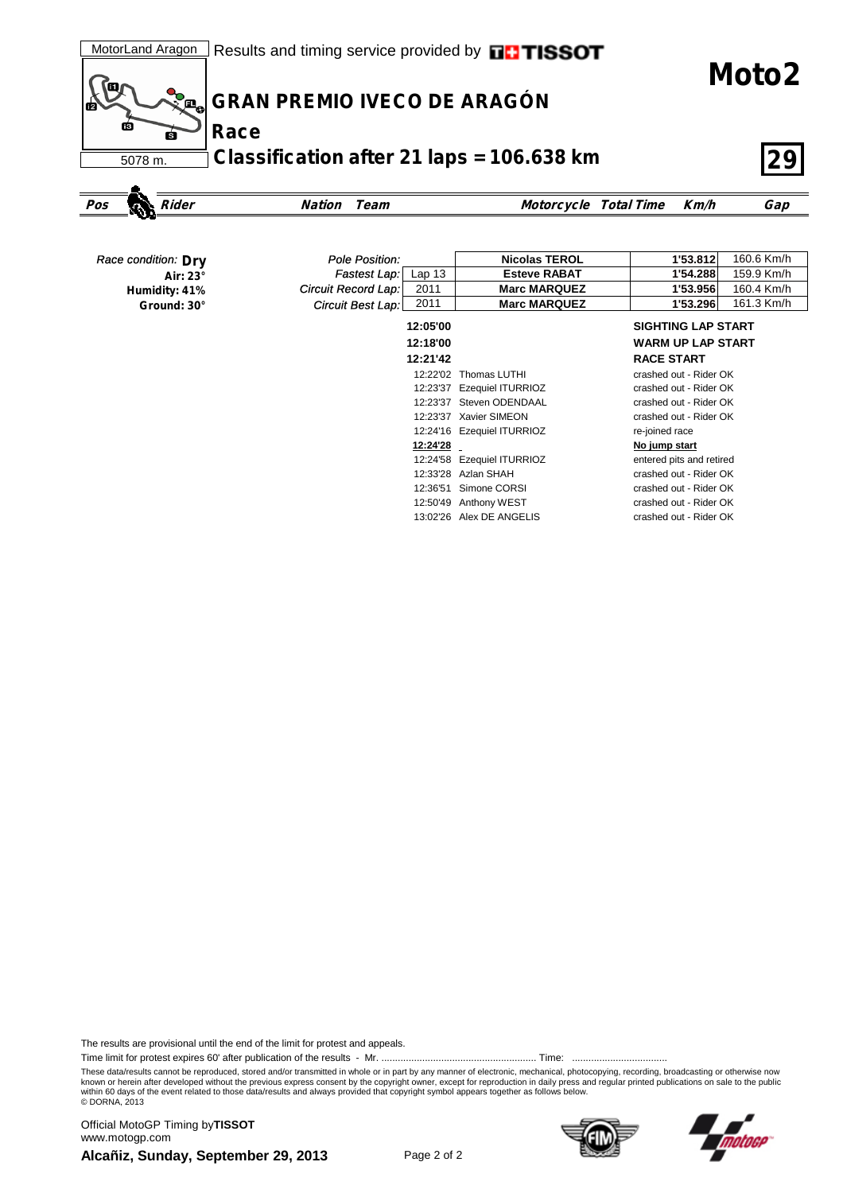**Moto2**



## **GRAN PREMIO IVECO DE ARAGÓN**

**Classification after 21 laps = 106.638 km 29**

```
Pos Rider Nation Team Motorcycle Total Time Km/h Gap
```

| Race condition: Dry | Pole Position:                    | <b>Nicolas TEROL</b>       | 1'53.812<br>160.6 Km/h    |
|---------------------|-----------------------------------|----------------------------|---------------------------|
| Air: 23°            | Fastest Lap:<br>Lap <sub>13</sub> | <b>Esteve RABAT</b>        | 159.9 Km/h<br>1'54.288    |
| Humidity: 41%       | Circuit Record Lap:<br>2011       | <b>Marc MARQUEZ</b>        | 160.4 Km/h<br>1'53.956    |
| Ground: 30°         | 2011<br>Circuit Best Lap:         | <b>Marc MARQUEZ</b>        | 161.3 Km/h<br>1'53.296    |
|                     | 12:05'00                          |                            | <b>SIGHTING LAP START</b> |
|                     | 12:18'00                          |                            | <b>WARM UP LAP START</b>  |
|                     | 12:21'42                          |                            | <b>RACE START</b>         |
|                     | 12:22'02                          | Thomas LUTHI               | crashed out - Rider OK    |
|                     | 12:23'37                          | <b>Ezequiel ITURRIOZ</b>   | crashed out - Rider OK    |
|                     | 12:23'37                          | Steven ODENDAAL            | crashed out - Rider OK    |
|                     |                                   | 12:23'37 Xavier SIMEON     | crashed out - Rider OK    |
|                     |                                   | 12:24'16 Ezequiel ITURRIOZ | re-joined race            |
|                     | 12:24'28                          |                            | No jump start             |
|                     |                                   | 12:24'58 Ezequiel ITURRIOZ | entered pits and retired  |
|                     |                                   | 12:33'28 Azlan SHAH        | crashed out - Rider OK    |
|                     | 12:36'51                          | Simone CORSI               | crashed out - Rider OK    |
|                     | 12:50'49                          | Anthony WEST               | crashed out - Rider OK    |
|                     |                                   | 13:02'26 Alex DE ANGELIS   | crashed out - Rider OK    |

The results are provisional until the end of the limit for protest and appeals.

Time limit for protest expires 60' after publication of the results - Mr. ......................................................... Time: ...................................

These data/results cannot be reproduced, stored and/or transmitted in whole or in part by any manner of electronic, mechanical, photocopying, recording, broadcasting or otherwise now<br>known or herein after developed without within 60 days of the event related to those data/results and always provided that copyright symbol appears together as follows below. © DORNA, 2013

**Alcañiz, Sunday, September 29, 2013** Page 2 of 2 Official MotoGP Timing by **TISSOT**www.motogp.com



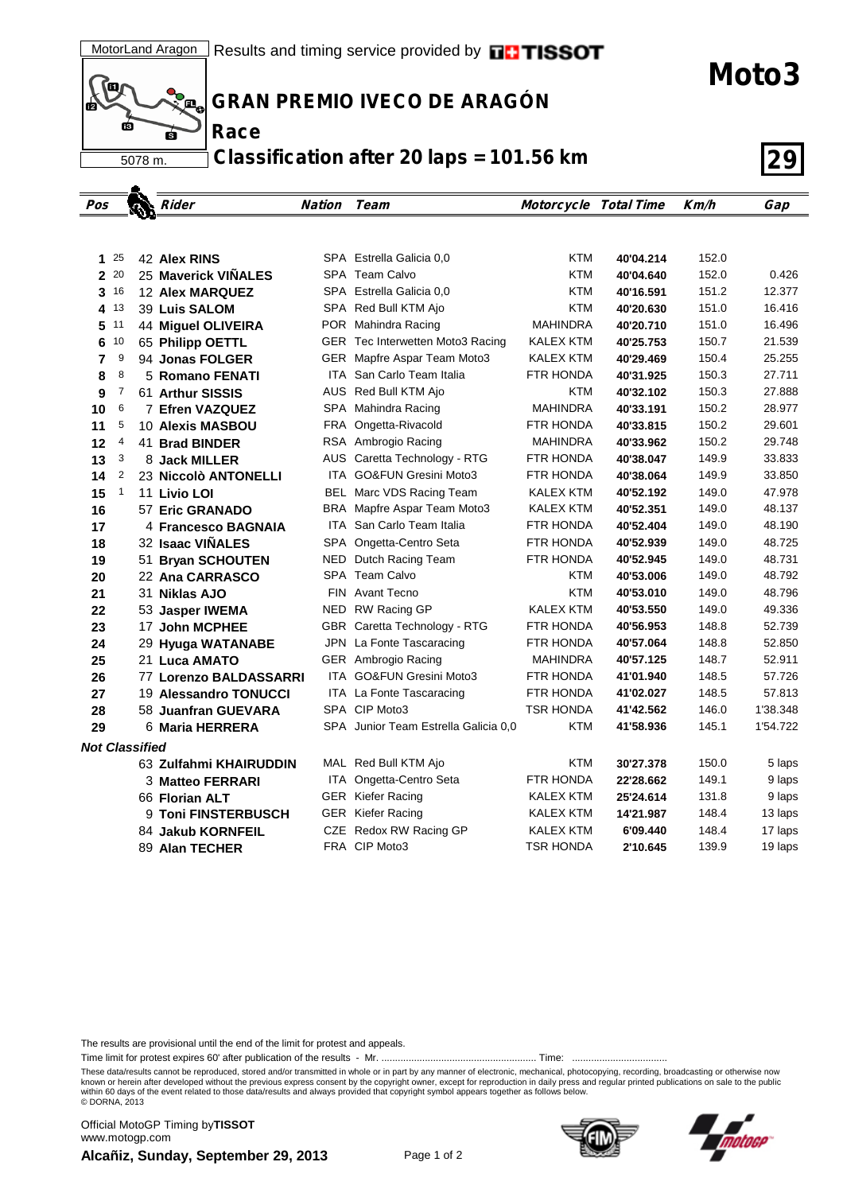(Q Д, пá Ġ 5078 m.

**Race**

**GRAN PREMIO IVECO DE ARAGÓN**

**Classification after 20 laps = 101.56 km 29**

| Pos                   |                 | $\mathbf{w}$ | Rider                  | Nation | Team                                 | Motorcycle Total Time |           | Km/h  | Gap      |
|-----------------------|-----------------|--------------|------------------------|--------|--------------------------------------|-----------------------|-----------|-------|----------|
|                       |                 |              |                        |        |                                      |                       |           |       |          |
|                       |                 |              |                        |        |                                      |                       |           |       |          |
| 1                     | 25              |              | 42 Alex RINS           |        | SPA Estrella Galicia 0.0             | <b>KTM</b>            | 40'04.214 | 152.0 |          |
|                       | 2 20            |              | 25 Maverick VINALES    |        | SPA Team Calvo                       | <b>KTM</b>            | 40'04.640 | 152.0 | 0.426    |
|                       | 3 <sup>16</sup> |              | <b>12 Alex MARQUEZ</b> |        | SPA Estrella Galicia 0.0             | <b>KTM</b>            | 40'16.591 | 151.2 | 12.377   |
| 4                     | 13              |              | 39 Luis SALOM          |        | SPA Red Bull KTM Ajo                 | <b>KTM</b>            | 40'20.630 | 151.0 | 16.416   |
| 5                     | 11              |              | 44 Miquel OLIVEIRA     |        | POR Mahindra Racing                  | <b>MAHINDRA</b>       | 40'20.710 | 151.0 | 16.496   |
| 6                     | 10              |              | 65 Philipp OETTL       |        | GER Tec Interwetten Moto3 Racing     | <b>KALEX KTM</b>      | 40'25.753 | 150.7 | 21.539   |
| 7                     | 9               |              | 94 Jonas FOLGER        |        | GER Mapfre Aspar Team Moto3          | <b>KALEX KTM</b>      | 40'29.469 | 150.4 | 25.255   |
| 8                     | 8               |              | 5 Romano FENATI        |        | ITA San Carlo Team Italia            | FTR HONDA             | 40'31.925 | 150.3 | 27.711   |
| 9                     | 7               |              | 61 Arthur SISSIS       |        | AUS Red Bull KTM Ajo                 | KTM                   | 40'32.102 | 150.3 | 27.888   |
| 10                    | 6               |              | 7 Efren VAZQUEZ        |        | SPA Mahindra Racing                  | <b>MAHINDRA</b>       | 40'33.191 | 150.2 | 28.977   |
| 11                    | 5               |              | 10 Alexis MASBOU       |        | FRA Ongetta-Rivacold                 | FTR HONDA             | 40'33.815 | 150.2 | 29.601   |
| 12                    | 4               |              | 41 Brad BINDER         |        | RSA Ambrogio Racing                  | MAHINDRA              | 40'33.962 | 150.2 | 29.748   |
| 13                    | 3               |              | 8 Jack MILLER          |        | AUS Caretta Technology - RTG         | FTR HONDA             | 40'38.047 | 149.9 | 33.833   |
| 14                    | 2               |              | 23 Niccolò ANTONELLI   |        | ITA GO&FUN Gresini Moto3             | FTR HONDA             | 40'38.064 | 149.9 | 33.850   |
| 15                    | $\mathbf{1}$    |              | 11 Livio LOI           |        | BEL Marc VDS Racing Team             | KALEX KTM             | 40'52.192 | 149.0 | 47.978   |
| 16                    |                 |              | 57 Eric GRANADO        |        | BRA Mapfre Aspar Team Moto3          | KALEX KTM             | 40'52.351 | 149.0 | 48.137   |
| 17                    |                 |              | 4 Francesco BAGNAIA    |        | <b>ITA</b> San Carlo Team Italia     | FTR HONDA             | 40'52.404 | 149.0 | 48.190   |
| 18                    |                 |              | 32 Isaac VINALES       |        | SPA Ongetta-Centro Seta              | FTR HONDA             | 40'52.939 | 149.0 | 48.725   |
| 19                    |                 |              | 51 Bryan SCHOUTEN      |        | NED Dutch Racing Team                | FTR HONDA             | 40'52.945 | 149.0 | 48.731   |
| 20                    |                 |              | 22 Ana CARRASCO        |        | SPA Team Calvo                       | <b>KTM</b>            | 40'53.006 | 149.0 | 48.792   |
| 21                    |                 |              | 31 Niklas AJO          |        | FIN Avant Tecno                      | <b>KTM</b>            | 40'53.010 | 149.0 | 48.796   |
| 22                    |                 |              | 53 Jasper IWEMA        |        | NED RW Racing GP                     | <b>KALEX KTM</b>      | 40'53.550 | 149.0 | 49.336   |
| 23                    |                 |              | 17 John MCPHEE         |        | GBR Caretta Technology - RTG         | FTR HONDA             | 40'56.953 | 148.8 | 52.739   |
| 24                    |                 |              | 29 Hyuga WATANABE      |        | JPN La Fonte Tascaracing             | FTR HONDA             | 40'57.064 | 148.8 | 52.850   |
| 25                    |                 |              | 21 Luca AMATO          |        | GER Ambrogio Racing                  | MAHINDRA              | 40'57.125 | 148.7 | 52.911   |
| 26                    |                 |              | 77 Lorenzo BALDASSARRI |        | ITA GO&FUN Gresini Moto3             | FTR HONDA             | 41'01.940 | 148.5 | 57.726   |
| 27                    |                 |              | 19 Alessandro TONUCCI  |        | ITA La Fonte Tascaracing             | FTR HONDA             | 41'02.027 | 148.5 | 57.813   |
| 28                    |                 |              | 58 Juanfran GUEVARA    |        | SPA CIP Moto3                        | <b>TSR HONDA</b>      | 41'42.562 | 146.0 | 1'38.348 |
| 29                    |                 |              | 6 Maria HERRERA        |        | SPA Junior Team Estrella Galicia 0,0 | <b>KTM</b>            | 41'58.936 | 145.1 | 1'54.722 |
| <b>Not Classified</b> |                 |              |                        |        |                                      |                       |           |       |          |
|                       |                 |              | 63 Zulfahmi KHAIRUDDIN |        | MAL Red Bull KTM Ajo                 | <b>KTM</b>            | 30'27.378 | 150.0 | 5 laps   |
|                       |                 |              | 3 Matteo FERRARI       |        | ITA Ongetta-Centro Seta              | FTR HONDA             | 22'28.662 | 149.1 | 9 laps   |
|                       |                 |              | 66 Florian ALT         |        | <b>GER</b> Kiefer Racing             | KALEX KTM             | 25'24.614 | 131.8 | 9 laps   |
|                       |                 |              | 9 Toni FINSTERBUSCH    |        | <b>GER</b> Kiefer Racing             | KALEX KTM             | 14'21.987 | 148.4 | 13 laps  |
|                       |                 |              | 84 Jakub KORNFEIL      |        | CZE Redox RW Racing GP               | KALEX KTM             | 6'09.440  | 148.4 | 17 laps  |
|                       |                 |              | 89 Alan TECHER         |        | FRA CIP Moto3                        | <b>TSR HONDA</b>      | 2'10.645  | 139.9 | 19 laps  |

The results are provisional until the end of the limit for protest and appeals.

Time limit for protest expires 60' after publication of the results - Mr. ......................................................... Time: ...................................

These data/results cannot be reproduced, stored and/or transmitted in whole or in part by any manner of electronic, mechanical, photocopying, recording, broadcasting or otherwise now<br>known or herein after developed without within 60 days of the event related to those data/results and always provided that copyright symbol appears together as follows below. © DORNA, 2013

**Alcañiz, Sunday, September 29, 2013** Page 1 of 2 Official MotoGP Timing by **TISSOT**www.motogp.com



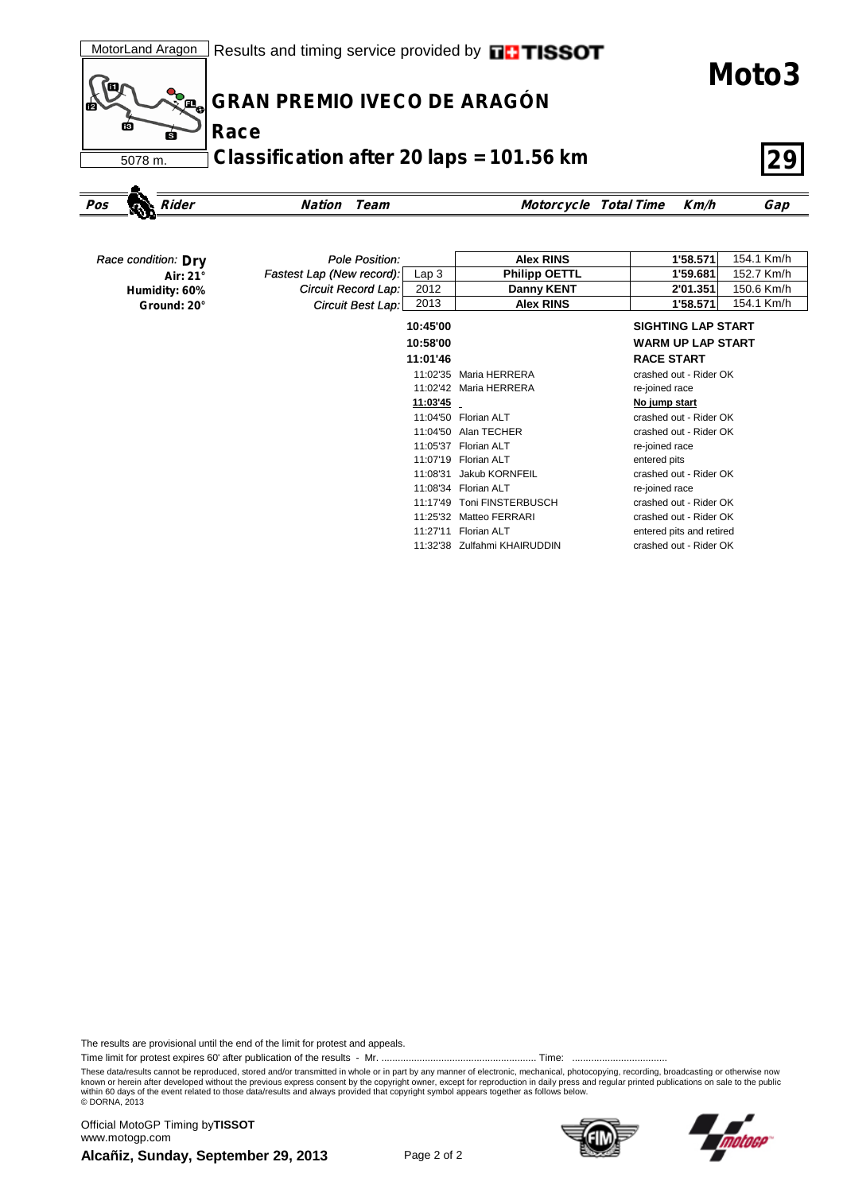**Moto3**



## **GRAN PREMIO IVECO DE ARAGÓN**

**Classification after 20 laps = 101.56 km 29**

```
Pos Rider Nation Team Motorcycle Total Time Km/h Gap
```

| Race condition: Dry | Pole Position:            |          | <b>Alex RINS</b>     | 1'58.571<br>154.1 Km/h    |
|---------------------|---------------------------|----------|----------------------|---------------------------|
| Air: 21°            | Fastest Lap (New record): | Lap3     | <b>Philipp OETTL</b> | 152.7 Km/h<br>1'59.681    |
| Humidity: 60%       | Circuit Record Lap:       | 2012     | Danny KENT           | 150.6 Km/h<br>2'01.351    |
| Ground: 20°         | Circuit Best Lap:         | 2013     | <b>Alex RINS</b>     | 154.1 Km/h<br>1'58.571    |
|                     |                           | 10:45'00 |                      | <b>SIGHTING LAP START</b> |
|                     |                           | 10:58'00 |                      | <b>WARM UP LAP START</b>  |
|                     |                           | 11:01'46 |                      | <b>RACE START</b>         |
|                     |                           | 11:02'35 | Maria HERRERA        | crashed out - Rider OK    |
|                     |                           | 11:02'42 | Maria HERRERA        | re-joined race            |
|                     |                           | 11:03'45 |                      | No jump start             |
|                     |                           |          | 11:04'50 Florian ALT | crashed out - Rider OK    |
|                     |                           | 11:04'50 | Alan TECHER          | crashed out - Rider OK    |
|                     |                           | 11:05'37 | Florian ALT          | re-joined race            |
|                     |                           | 11:07'19 | Florian ALT          | entered pits              |
|                     |                           | 11:08'31 | Jakub KORNFEIL       | crashed out - Rider OK    |
|                     |                           | 11:08'34 | Florian ALT          | re-joined race            |
|                     |                           | 11:17'49 | Toni FINSTERBUSCH    | crashed out - Rider OK    |
|                     |                           | 11:25'32 | Matteo FERRARI       | crashed out - Rider OK    |
|                     |                           | 11:27'11 | Florian ALT          | entered pits and retired  |

11:32'38 Zulfahmi KHAIRUDDIN crashed out - Rider OK

The results are provisional until the end of the limit for protest and appeals.

Time limit for protest expires 60' after publication of the results - Mr. ......................................................... Time: ...................................

These data/results cannot be reproduced, stored and/or transmitted in whole or in part by any manner of electronic, mechanical, photocopying, recording, broadcasting or otherwise now<br>known or herein after developed without within 60 days of the event related to those data/results and always provided that copyright symbol appears together as follows below. © DORNA, 2013

**Alcañiz, Sunday, September 29, 2013** Page 2 of 2 Official MotoGP Timing by **TISSOT**www.motogp.com



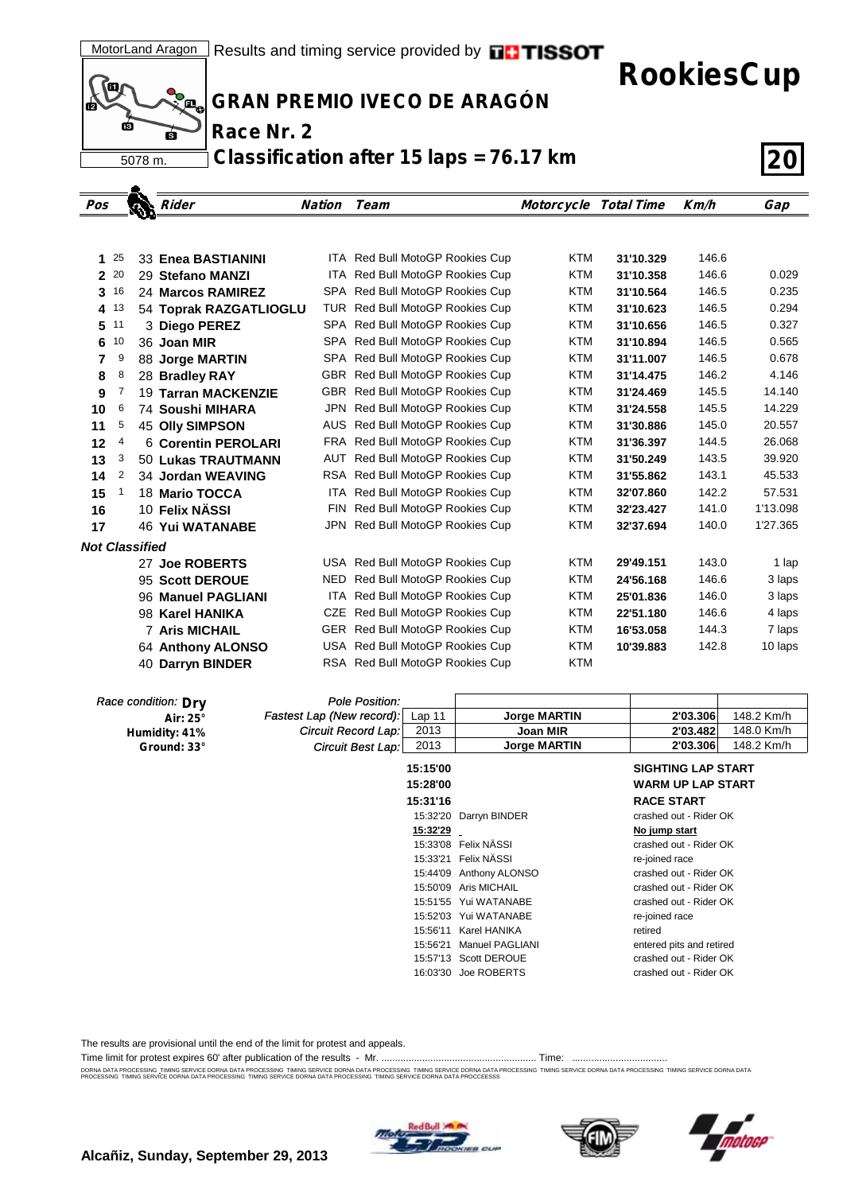

**RookiesCup**



<u>ه.</u>

**GRAN PREMIO IVECO DE ARAGÓN**

**Race Nr. 2**

**Classification after 15 laps = 76.17 km 20**

| Pos          |      |                       | Rider                      | Nation | Team                            | <b>Motorcycle Total Time</b> |           | Km/h  | Gap      |
|--------------|------|-----------------------|----------------------------|--------|---------------------------------|------------------------------|-----------|-------|----------|
|              |      |                       |                            |        |                                 |                              |           |       |          |
|              |      |                       |                            |        |                                 |                              |           |       |          |
| 1            | 25   |                       | 33 Enea BASTIANINI         |        | ITA Red Bull MotoGP Rookies Cup | <b>KTM</b>                   | 31'10.329 | 146.6 |          |
| $\mathbf{2}$ | 20   |                       | 29 Stefano MANZI           |        | ITA Red Bull MotoGP Rookies Cup | <b>KTM</b>                   | 31'10.358 | 146.6 | 0.029    |
| 3            | 16   |                       | 24 Marcos RAMIREZ          |        | SPA Red Bull MotoGP Rookies Cup | <b>KTM</b>                   | 31'10.564 | 146.5 | 0.235    |
|              | 4 13 |                       | 54 Toprak RAZGATLIOGLU     |        | TUR Red Bull MotoGP Rookies Cup | <b>KTM</b>                   | 31'10.623 | 146.5 | 0.294    |
| 5            | 11   |                       | 3 Diego PEREZ              |        | SPA Red Bull MotoGP Rookies Cup | <b>KTM</b>                   | 31'10.656 | 146.5 | 0.327    |
| 6            | 10   |                       | 36 Joan MIR                |        | SPA Red Bull MotoGP Rookies Cup | <b>KTM</b>                   | 31'10.894 | 146.5 | 0.565    |
| 7            | 9    |                       | <b>88 Jorge MARTIN</b>     |        | SPA Red Bull MotoGP Rookies Cup | <b>KTM</b>                   | 31'11.007 | 146.5 | 0.678    |
| 8            | 8    |                       | 28 Bradley RAY             |        | GBR Red Bull MotoGP Rookies Cup | <b>KTM</b>                   | 31'14.475 | 146.2 | 4.146    |
| 9            | 7    |                       | <b>19 Tarran MACKENZIE</b> |        | GBR Red Bull MotoGP Rookies Cup | <b>KTM</b>                   | 31'24.469 | 145.5 | 14.140   |
| 10           | 6    |                       | 74 Soushi MIHARA           |        | JPN Red Bull MotoGP Rookies Cup | <b>KTM</b>                   | 31'24.558 | 145.5 | 14.229   |
| 11           | 5    |                       | <b>45 Olly SIMPSON</b>     |        | AUS Red Bull MotoGP Rookies Cup | <b>KTM</b>                   | 31'30.886 | 145.0 | 20.557   |
| 12           | 4    |                       | 6 Corentin PEROLARI        |        | FRA Red Bull MotoGP Rookies Cup | <b>KTM</b>                   | 31'36.397 | 144.5 | 26.068   |
| 13           | 3    |                       | 50 Lukas TRAUTMANN         |        | AUT Red Bull MotoGP Rookies Cup | <b>KTM</b>                   | 31'50.249 | 143.5 | 39.920   |
| 14           | 2    |                       | 34 Jordan WEAVING          |        | RSA Red Bull MotoGP Rookies Cup | <b>KTM</b>                   | 31'55.862 | 143.1 | 45.533   |
| 15           | 1    |                       | 18 Mario TOCCA             |        | ITA Red Bull MotoGP Rookies Cup | <b>KTM</b>                   | 32'07.860 | 142.2 | 57.531   |
| 16           |      |                       | 10 Felix NÄSSI             |        | FIN Red Bull MotoGP Rookies Cup | <b>KTM</b>                   | 32'23.427 | 141.0 | 1'13.098 |
| 17           |      |                       | <b>46 Yui WATANABE</b>     |        | JPN Red Bull MotoGP Rookies Cup | <b>KTM</b>                   | 32'37.694 | 140.0 | 1'27.365 |
|              |      | <b>Not Classified</b> |                            |        |                                 |                              |           |       |          |
|              |      |                       | 27 Joe ROBERTS             |        | USA Red Bull MotoGP Rookies Cup | <b>KTM</b>                   | 29'49.151 | 143.0 | 1 lap    |
|              |      |                       | 95 Scott DEROUE            |        | NED Red Bull MotoGP Rookies Cup | <b>KTM</b>                   | 24'56.168 | 146.6 | 3 laps   |
|              |      |                       | 96 Manuel PAGLIANI         |        | ITA Red Bull MotoGP Rookies Cup | <b>KTM</b>                   | 25'01.836 | 146.0 | 3 laps   |
|              |      |                       | 98 Karel HANIKA            |        | CZE Red Bull MotoGP Rookies Cup | <b>KTM</b>                   | 22'51.180 | 146.6 | 4 laps   |
|              |      |                       | <b>7 Aris MICHAIL</b>      |        | GER Red Bull MotoGP Rookies Cup | <b>KTM</b>                   | 16'53.058 | 144.3 | 7 laps   |
|              |      |                       | 64 Anthony ALONSO          |        | USA Red Bull MotoGP Rookies Cup | <b>KTM</b>                   | 10'39.883 | 142.8 | 10 laps  |
|              |      |                       | 40 Darryn BINDER           |        | RSA Red Bull MotoGP Rookies Cup | <b>KTM</b>                   |           |       |          |
|              |      |                       |                            |        |                                 |                              |           |       |          |

| Race condition: Dry | Pole Position:                                 |                        |                           |
|---------------------|------------------------------------------------|------------------------|---------------------------|
| Air: 25°            | Fastest Lap (New record):<br>Lap <sub>11</sub> | <b>Jorge MARTIN</b>    | 148.2 Km/h<br>2'03.306    |
| Humidity: 41%       | 2013<br>Circuit Record Lap:                    | <b>Joan MIR</b>        | 148.0 Km/h<br>2'03.482    |
| Ground: 33°         | 2013<br>Circuit Best Lap:                      | <b>Jorge MARTIN</b>    | 148.2 Km/h<br>2'03.306    |
|                     | 15:15'00                                       |                        | <b>SIGHTING LAP START</b> |
|                     | 15:28'00                                       |                        | <b>WARM UP LAP START</b>  |
|                     | 15:31'16                                       |                        | <b>RACE START</b>         |
|                     |                                                | 15:32'20 Darryn BINDER | crashed out - Rider OK    |
|                     | 15:32'29                                       |                        | No jump start             |
|                     |                                                | 15:33'08 Felix NASSI   | crashed out - Rider OK    |
|                     | 15:33'21                                       | Felix NÄSSI            | re-joined race            |
|                     | 15:44'09                                       | Anthony ALONSO         | crashed out - Rider OK    |
|                     | 15:50'09                                       | Aris MICHAIL           | crashed out - Rider OK    |
|                     |                                                | 15:51'55 Yui WATANABE  | crashed out - Rider OK    |
|                     | 15:52'03                                       | Yui WATANABE           | re-joined race            |
|                     | 15:56'11                                       | Karel HANIKA           | retired                   |
|                     | 15:56'21                                       | <b>Manuel PAGLIANI</b> | entered pits and retired  |
|                     |                                                | 15:57'13 Scott DEROUE  | crashed out - Rider OK    |
|                     |                                                | 16:03'30 Joe ROBERTS   | crashed out - Rider OK    |

The results are provisional until the end of the limit for protest and appeals.

Time limit for protest expires 60' after publication of the results - Mr. ......................................................... Time: ...................................

DORNA DATA PROCESSING. TIMING SERVICE DORNA DATA PROCESSING TIMING SERVICE DORNA DROCESSING TIMING SERVICE DORNA DATA PROCESSING TIMING SERVICE DORNA DATA PROCESSING TIMING SERVICE DORNA DATA PROCESSING TIMING SERVICE DORN